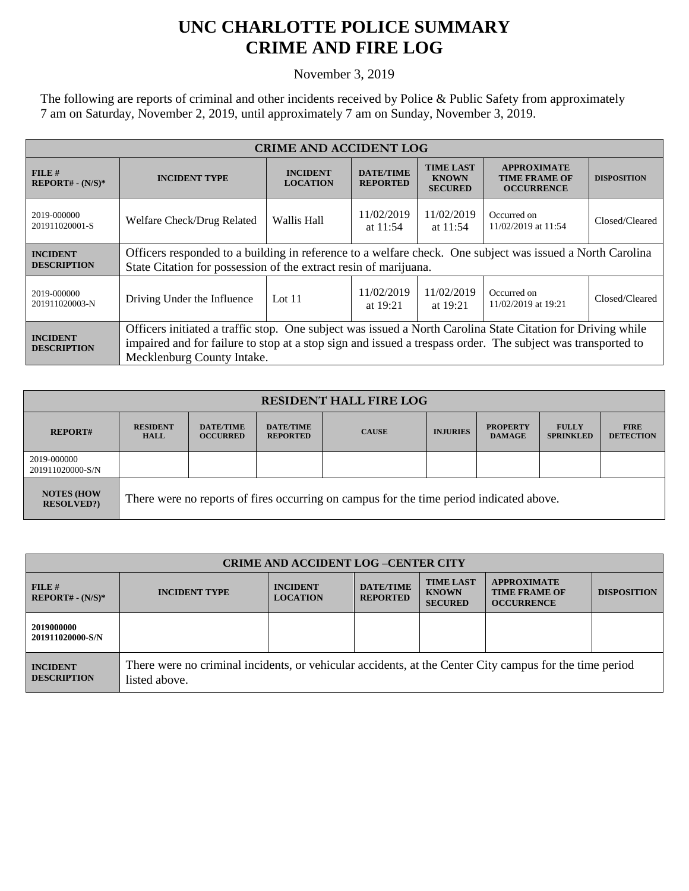## **UNC CHARLOTTE POLICE SUMMARY CRIME AND FIRE LOG**

November 3, 2019

The following are reports of criminal and other incidents received by Police & Public Safety from approximately 7 am on Saturday, November 2, 2019, until approximately 7 am on Sunday, November 3, 2019.

| <b>CRIME AND ACCIDENT LOG</b>         |                                                                                                                                                                                                                                                          |                                    |                                     |                                                    |                                                                 |                    |  |
|---------------------------------------|----------------------------------------------------------------------------------------------------------------------------------------------------------------------------------------------------------------------------------------------------------|------------------------------------|-------------------------------------|----------------------------------------------------|-----------------------------------------------------------------|--------------------|--|
| FILE#<br>$REPORT# - (N/S)*$           | <b>INCIDENT TYPE</b>                                                                                                                                                                                                                                     | <b>INCIDENT</b><br><b>LOCATION</b> | <b>DATE/TIME</b><br><b>REPORTED</b> | <b>TIME LAST</b><br><b>KNOWN</b><br><b>SECURED</b> | <b>APPROXIMATE</b><br><b>TIME FRAME OF</b><br><b>OCCURRENCE</b> | <b>DISPOSITION</b> |  |
| 2019-000000<br>201911020001-S         | Welfare Check/Drug Related                                                                                                                                                                                                                               | Wallis Hall                        | 11/02/2019<br>at $11:54$            | 11/02/2019<br>at $11:54$                           | Occurred on<br>11/02/2019 at 11:54                              | Closed/Cleared     |  |
| <b>INCIDENT</b><br><b>DESCRIPTION</b> | Officers responded to a building in reference to a welfare check. One subject was issued a North Carolina<br>State Citation for possession of the extract resin of marijuana.                                                                            |                                    |                                     |                                                    |                                                                 |                    |  |
| 2019-000000<br>201911020003-N         | Driving Under the Influence                                                                                                                                                                                                                              | Lot $11$                           | 11/02/2019<br>at $19:21$            | 11/02/2019<br>at $19:21$                           | Occurred on<br>11/02/2019 at 19:21                              | Closed/Cleared     |  |
| <b>INCIDENT</b><br><b>DESCRIPTION</b> | Officers initiated a traffic stop. One subject was issued a North Carolina State Citation for Driving while<br>impaired and for failure to stop at a stop sign and issued a trespass order. The subject was transported to<br>Mecklenburg County Intake. |                                    |                                     |                                                    |                                                                 |                    |  |

| <b>RESIDENT HALL FIRE LOG</b>         |                                                                                         |                                     |                                     |              |                 |                                  |                                  |                                 |
|---------------------------------------|-----------------------------------------------------------------------------------------|-------------------------------------|-------------------------------------|--------------|-----------------|----------------------------------|----------------------------------|---------------------------------|
| <b>REPORT#</b>                        | <b>RESIDENT</b><br><b>HALL</b>                                                          | <b>DATE/TIME</b><br><b>OCCURRED</b> | <b>DATE/TIME</b><br><b>REPORTED</b> | <b>CAUSE</b> | <b>INJURIES</b> | <b>PROPERTY</b><br><b>DAMAGE</b> | <b>FULLY</b><br><b>SPRINKLED</b> | <b>FIRE</b><br><b>DETECTION</b> |
| 2019-000000<br>201911020000-S/N       |                                                                                         |                                     |                                     |              |                 |                                  |                                  |                                 |
| <b>NOTES (HOW</b><br><b>RESOLVED?</b> | There were no reports of fires occurring on campus for the time period indicated above. |                                     |                                     |              |                 |                                  |                                  |                                 |

| <b>CRIME AND ACCIDENT LOG-CENTER CITY</b> |                                                                                                                          |                                    |                                     |                                                    |                                                                 |                    |
|-------------------------------------------|--------------------------------------------------------------------------------------------------------------------------|------------------------------------|-------------------------------------|----------------------------------------------------|-----------------------------------------------------------------|--------------------|
| FILE#<br>$REPORT# - (N/S)*$               | <b>INCIDENT TYPE</b>                                                                                                     | <b>INCIDENT</b><br><b>LOCATION</b> | <b>DATE/TIME</b><br><b>REPORTED</b> | <b>TIME LAST</b><br><b>KNOWN</b><br><b>SECURED</b> | <b>APPROXIMATE</b><br><b>TIME FRAME OF</b><br><b>OCCURRENCE</b> | <b>DISPOSITION</b> |
| 2019000000<br>201911020000-S/N            |                                                                                                                          |                                    |                                     |                                                    |                                                                 |                    |
| <b>INCIDENT</b><br><b>DESCRIPTION</b>     | There were no criminal incidents, or vehicular accidents, at the Center City campus for the time period<br>listed above. |                                    |                                     |                                                    |                                                                 |                    |